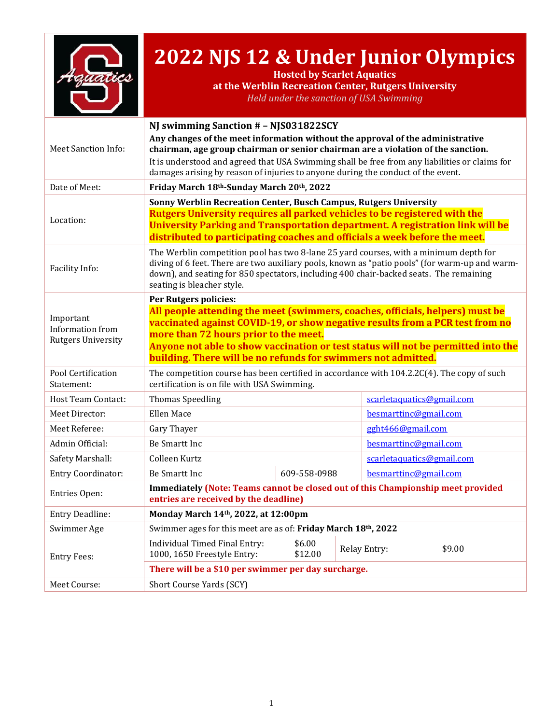

# **2022 NJS 12 & Under Junior Olympics**

**Hosted by Scarlet Aquatics at the Werblin Recreation Center, Rutgers University** *Held under the sanction of USA Swimming*

|                                                            | NJ swimming Sanction # - NJS031822SCY                                                                                                                                                                                                                                                                                                                                                         |                   |  |                               |  |
|------------------------------------------------------------|-----------------------------------------------------------------------------------------------------------------------------------------------------------------------------------------------------------------------------------------------------------------------------------------------------------------------------------------------------------------------------------------------|-------------------|--|-------------------------------|--|
| <b>Meet Sanction Info:</b>                                 | Any changes of the meet information without the approval of the administrative<br>chairman, age group chairman or senior chairman are a violation of the sanction.<br>It is understood and agreed that USA Swimming shall be free from any liabilities or claims for<br>damages arising by reason of injuries to anyone during the conduct of the event.                                      |                   |  |                               |  |
| Date of Meet:                                              | Friday March 18th-Sunday March 20th, 2022                                                                                                                                                                                                                                                                                                                                                     |                   |  |                               |  |
| Location:                                                  | Sonny Werblin Recreation Center, Busch Campus, Rutgers University<br><b>Rutgers University requires all parked vehicles to be registered with the</b><br>University Parking and Transportation department. A registration link will be<br>distributed to participating coaches and officials a week before the meet.                                                                          |                   |  |                               |  |
| Facility Info:                                             | The Werblin competition pool has two 8-lane 25 yard courses, with a minimum depth for<br>diving of 6 feet. There are two auxiliary pools, known as "patio pools" (for warm-up and warm-<br>down), and seating for 850 spectators, including 400 chair-backed seats. The remaining<br>seating is bleacher style.                                                                               |                   |  |                               |  |
| Important<br>Information from<br><b>Rutgers University</b> | <b>Per Rutgers policies:</b><br>All people attending the meet (swimmers, coaches, officials, helpers) must be<br>vaccinated against COVID-19, or show negative results from a PCR test from no<br>more than 72 hours prior to the meet.<br>Anyone not able to show vaccination or test status will not be permitted into the<br>building. There will be no refunds for swimmers not admitted. |                   |  |                               |  |
| Pool Certification<br>Statement:                           | The competition course has been certified in accordance with $104.2.2C(4)$ . The copy of such<br>certification is on file with USA Swimming.                                                                                                                                                                                                                                                  |                   |  |                               |  |
| <b>Host Team Contact:</b>                                  | <b>Thomas Speedling</b>                                                                                                                                                                                                                                                                                                                                                                       |                   |  | scarletaquatics@gmail.com     |  |
| Meet Director:                                             | <b>Ellen Mace</b>                                                                                                                                                                                                                                                                                                                                                                             |                   |  | besmarttinc@gmail.com         |  |
| Meet Referee:                                              | Gary Thayer                                                                                                                                                                                                                                                                                                                                                                                   |                   |  | gght466@gmail.com             |  |
| Admin Official:                                            | Be Smartt Inc                                                                                                                                                                                                                                                                                                                                                                                 |                   |  | besmarttinc@gmail.com         |  |
| Safety Marshall:                                           | Colleen Kurtz                                                                                                                                                                                                                                                                                                                                                                                 |                   |  | scarletaquatics@gmail.com     |  |
| <b>Entry Coordinator:</b>                                  | Be Smartt Inc                                                                                                                                                                                                                                                                                                                                                                                 | 609-558-0988      |  | besmarttinc@gmail.com         |  |
| Entries Open:                                              | <b>Immediately (Note: Teams cannot be closed out of this Championship meet provided</b><br>entries are received by the deadline)                                                                                                                                                                                                                                                              |                   |  |                               |  |
| Entry Deadline:                                            | Monday March 14th, 2022, at 12:00pm                                                                                                                                                                                                                                                                                                                                                           |                   |  |                               |  |
| Swimmer Age                                                | Swimmer ages for this meet are as of: Friday March 18th, 2022                                                                                                                                                                                                                                                                                                                                 |                   |  |                               |  |
| <b>Entry Fees:</b>                                         | Individual Timed Final Entry:<br>1000, 1650 Freestyle Entry:                                                                                                                                                                                                                                                                                                                                  | \$6.00<br>\$12.00 |  | \$9.00<br><b>Relay Entry:</b> |  |
|                                                            | There will be a \$10 per swimmer per day surcharge.                                                                                                                                                                                                                                                                                                                                           |                   |  |                               |  |
| Meet Course:                                               | Short Course Yards (SCY)                                                                                                                                                                                                                                                                                                                                                                      |                   |  |                               |  |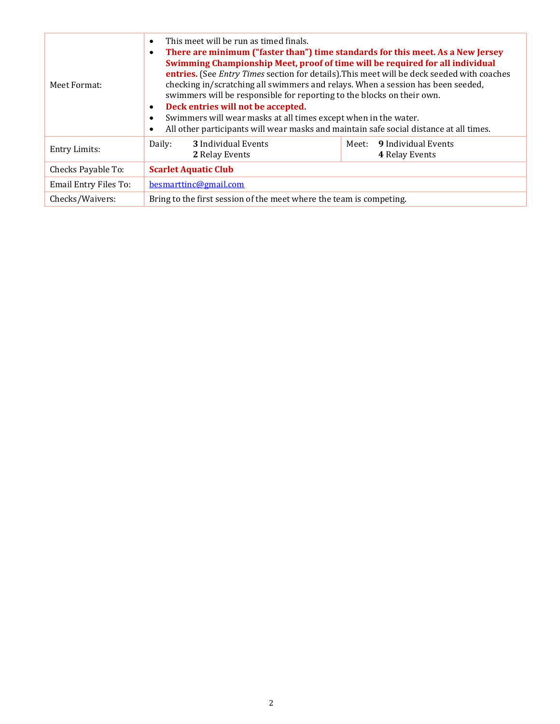| Meet Format:          | This meet will be run as timed finals.<br>$\bullet$<br>There are minimum ("faster than") time standards for this meet. As a New Jersey<br>٠<br>Swimming Championship Meet, proof of time will be required for all individual<br>entries. (See Entry Times section for details). This meet will be deck seeded with coaches<br>checking in/scratching all swimmers and relays. When a session has been seeded,<br>swimmers will be responsible for reporting to the blocks on their own.<br>Deck entries will not be accepted.<br>$\bullet$<br>Swimmers will wear masks at all times except when in the water.<br>$\bullet$<br>All other participants will wear masks and maintain safe social distance at all times.<br>$\bullet$ |  |  |  |
|-----------------------|-----------------------------------------------------------------------------------------------------------------------------------------------------------------------------------------------------------------------------------------------------------------------------------------------------------------------------------------------------------------------------------------------------------------------------------------------------------------------------------------------------------------------------------------------------------------------------------------------------------------------------------------------------------------------------------------------------------------------------------|--|--|--|
| <b>Entry Limits:</b>  | 3 Individual Events<br>Meet: 9 Individual Events<br>Daily:<br>2 Relay Events<br><b>4 Relay Events</b>                                                                                                                                                                                                                                                                                                                                                                                                                                                                                                                                                                                                                             |  |  |  |
| Checks Payable To:    | <b>Scarlet Aquatic Club</b>                                                                                                                                                                                                                                                                                                                                                                                                                                                                                                                                                                                                                                                                                                       |  |  |  |
| Email Entry Files To: | besmartting@gmail.com                                                                                                                                                                                                                                                                                                                                                                                                                                                                                                                                                                                                                                                                                                             |  |  |  |
| Checks/Waivers:       | Bring to the first session of the meet where the team is competing.                                                                                                                                                                                                                                                                                                                                                                                                                                                                                                                                                                                                                                                               |  |  |  |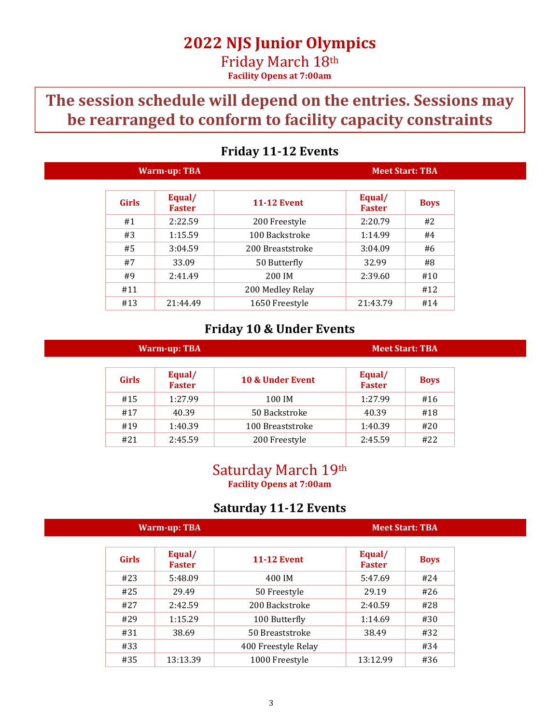## **The session schedule will depend on the entries. Sessions may be rearranged to conform to facility capacity constraints**

| Warm-up: TBA |                         |                    | <b>Meet Start: TBA</b>  |             |
|--------------|-------------------------|--------------------|-------------------------|-------------|
| <b>Girls</b> | Equal/<br><b>Faster</b> | <b>11-12 Event</b> | Equal/<br><b>Faster</b> | <b>Boys</b> |
| #1           | 2:22.59                 | 200 Freestyle      | 2:20.79                 | #2          |
| #3           | 1:15.59                 | 100 Backstroke     | 1:14.99                 | #4          |
| #5           | 3:04.59                 | 200 Breaststroke   | 3:04.09                 | #6          |
| #7           | 33.09                   | 50 Butterfly       | 32.99                   | #8          |
| #9           | 2:41.49                 | 200 IM             | 2:39.60                 | #10         |
| #11          |                         | 200 Medley Relay   |                         | #12         |
| #13          | 21:44.49                | 1650 Freestyle     | 21:43.79                | #14         |

### **Friday 11-12 Events**

### **Friday 10 & Under Events**

| <b>Warm-up: TBA</b> |                         |                  |                         | <b>Meet Start: TBA</b> |
|---------------------|-------------------------|------------------|-------------------------|------------------------|
| <b>Girls</b>        | Equal/<br><b>Faster</b> | 10 & Under Event | Equal/<br><b>Faster</b> | <b>Boys</b>            |
| #15                 | 1:27.99                 | 100 IM           | 1:27.99                 | #16                    |
| #17                 | 40.39                   | 50 Backstroke    | 40.39                   | #18                    |
| #19                 | 1:40.39                 | 100 Breaststroke | 1:40.39                 | #20                    |
| #21                 | 2:45.59                 | 200 Freestyle    | 2:45.59                 | #22                    |

### Saturday March 19th **Facility Opens at 7:00am**

### **Saturday 11-12 Events**

|              | Warm-up: TBA            |                     |                         | <b>Meet Start: TBA</b> |
|--------------|-------------------------|---------------------|-------------------------|------------------------|
| <b>Girls</b> | Equal/<br><b>Faster</b> | <b>11-12 Event</b>  | Equal/<br><b>Faster</b> | <b>Boys</b>            |
| #23          | 5:48.09                 | 400 IM              | 5:47.69                 | #24                    |
| #25          | 29.49                   | 50 Freestyle        | 29.19                   | #26                    |
| #27          | 2:42.59                 | 200 Backstroke      | 2:40.59                 | #28                    |
| #29          | 1:15.29                 | 100 Butterfly       | 1:14.69                 | #30                    |
| #31          | 38.69                   | 50 Breaststroke     | 38.49                   | #32                    |
| #33          |                         | 400 Freestyle Relay |                         | #34                    |
| #35          | 13:13.39                | 1000 Freestyle      | 13:12.99                | #36                    |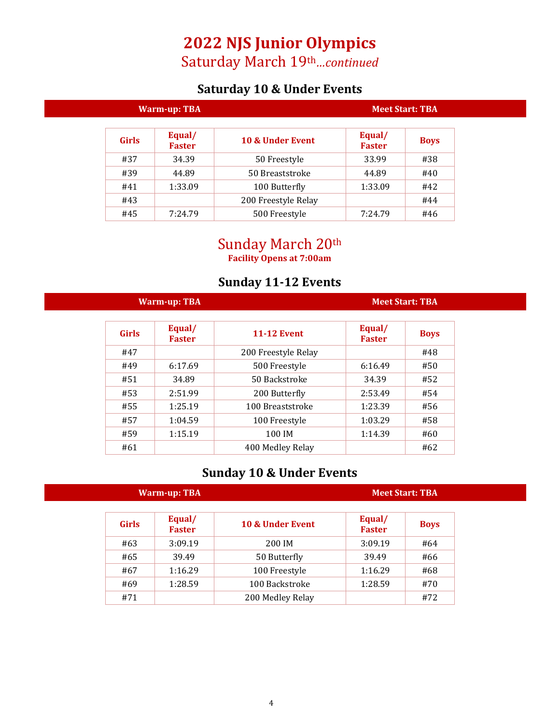## **2022 NJS Junior Olympics**

Saturday March 19th*…continued*

## **Saturday 10 & Under Events**

|              | <b>Warm-up: TBA</b>     |                     | <b>Meet Start: TBA</b>  |             |
|--------------|-------------------------|---------------------|-------------------------|-------------|
| <b>Girls</b> | Equal/<br><b>Faster</b> | 10 & Under Event    | Equal/<br><b>Faster</b> | <b>Boys</b> |
| #37          | 34.39                   | 50 Freestyle        | 33.99                   | #38         |
| #39          | 44.89                   | 50 Breaststroke     | 44.89                   | #40         |
| #41          | 1:33.09                 | 100 Butterfly       | 1:33.09                 | #42         |
| #43          |                         | 200 Freestyle Relay |                         | #44         |
| #45          | 7:24.79                 | 500 Freestyle       | 7:24.79                 | #46         |

## Sunday March 20th

**Facility Opens at 7:00am**

### **Sunday 11-12 Events**

| <b>Warm-up: TBA</b> |                         |                     |                         | <b>Meet Start: TBA</b> |
|---------------------|-------------------------|---------------------|-------------------------|------------------------|
| <b>Girls</b>        | Equal/<br><b>Faster</b> | <b>11-12 Event</b>  | Equal/<br><b>Faster</b> | <b>Boys</b>            |
| #47                 |                         | 200 Freestyle Relay |                         | #48                    |
| #49                 | 6:17.69                 | 500 Freestyle       | 6:16.49                 | #50                    |
| #51                 | 34.89                   | 50 Backstroke       | 34.39                   | #52                    |
| #53                 | 2:51.99                 | 200 Butterfly       | 2:53.49                 | #54                    |
| #55                 | 1:25.19                 | 100 Breaststroke    | 1:23.39                 | #56                    |
| #57                 | 1:04.59                 | 100 Freestyle       | 1:03.29                 | #58                    |
| #59                 | 1:15.19                 | 100 IM              | 1:14.39                 | #60                    |
| #61                 |                         | 400 Medley Relay    |                         | #62                    |

## **Sunday 10 & Under Events**

| Warm-up: TBA |                         |                  |                         | <b>Meet Start: TBA</b> |
|--------------|-------------------------|------------------|-------------------------|------------------------|
| <b>Girls</b> | Equal/<br><b>Faster</b> | 10 & Under Event | Equal/<br><b>Faster</b> | <b>Boys</b>            |
| #63          | 3:09.19                 | 200 IM           | 3:09.19                 | #64                    |
| #65          | 39.49                   | 50 Butterfly     | 39.49                   | #66                    |
| #67          | 1:16.29                 | 100 Freestyle    | 1:16.29                 | #68                    |
| #69          | 1:28.59                 | 100 Backstroke   | 1:28.59                 | #70                    |
| #71          |                         | 200 Medley Relay |                         | #72                    |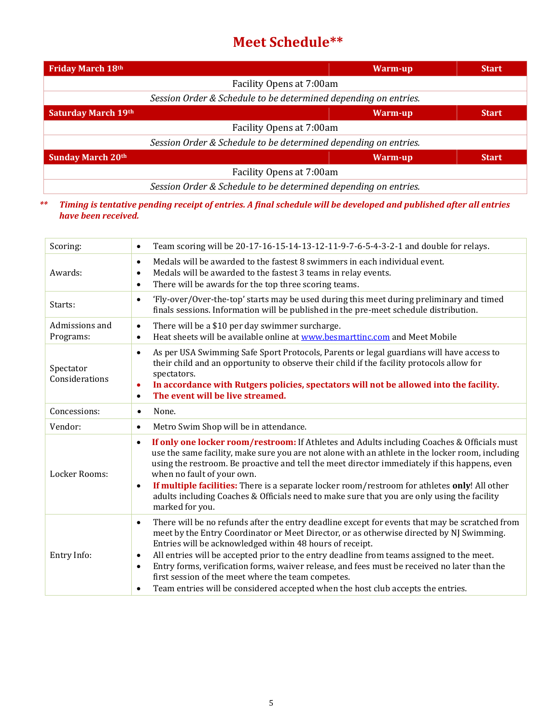## **Meet Schedule\*\***

| Friday March 18th          | Warm-up                                                         | <b>Start</b> |
|----------------------------|-----------------------------------------------------------------|--------------|
|                            | Facility Opens at 7:00am                                        |              |
|                            | Session Order & Schedule to be determined depending on entries. |              |
| <b>Saturday March 19th</b> | Warm-up                                                         | <b>Start</b> |
|                            | Facility Opens at 7:00am                                        |              |
|                            | Session Order & Schedule to be determined depending on entries. |              |
| <b>Sunday March 20th</b>   | Warm-up                                                         | <b>Start</b> |
|                            | Facility Opens at 7:00am                                        |              |
|                            | Session Order & Schedule to be determined depending on entries. |              |

#### *\*\* Timing is tentative pending receipt of entries. A final schedule will be developed and published after all entries have been received.*

| Scoring:                    | Team scoring will be 20-17-16-15-14-13-12-11-9-7-6-5-4-3-2-1 and double for relays.<br>$\bullet$                                                                                                                                                                                                                                                                                                                                                                                                                                                                                                                                                  |
|-----------------------------|---------------------------------------------------------------------------------------------------------------------------------------------------------------------------------------------------------------------------------------------------------------------------------------------------------------------------------------------------------------------------------------------------------------------------------------------------------------------------------------------------------------------------------------------------------------------------------------------------------------------------------------------------|
| Awards:                     | Medals will be awarded to the fastest 8 swimmers in each individual event.<br>$\bullet$<br>Medals will be awarded to the fastest 3 teams in relay events.<br>٠<br>There will be awards for the top three scoring teams.<br>$\bullet$                                                                                                                                                                                                                                                                                                                                                                                                              |
| Starts:                     | 'Fly-over/Over-the-top' starts may be used during this meet during preliminary and timed<br>$\bullet$<br>finals sessions. Information will be published in the pre-meet schedule distribution.                                                                                                                                                                                                                                                                                                                                                                                                                                                    |
| Admissions and<br>Programs: | There will be a \$10 per day swimmer surcharge.<br>$\bullet$<br>Heat sheets will be available online at www.besmarttinc.com and Meet Mobile<br>$\bullet$                                                                                                                                                                                                                                                                                                                                                                                                                                                                                          |
| Spectator<br>Considerations | As per USA Swimming Safe Sport Protocols, Parents or legal guardians will have access to<br>$\bullet$<br>their child and an opportunity to observe their child if the facility protocols allow for<br>spectators.<br>In accordance with Rutgers policies, spectators will not be allowed into the facility.<br>$\bullet$<br>The event will be live streamed.<br>$\bullet$                                                                                                                                                                                                                                                                         |
| Concessions:                | None.<br>$\bullet$                                                                                                                                                                                                                                                                                                                                                                                                                                                                                                                                                                                                                                |
| Vendor:                     | Metro Swim Shop will be in attendance.<br>$\bullet$                                                                                                                                                                                                                                                                                                                                                                                                                                                                                                                                                                                               |
| Locker Rooms:               | If only one locker room/restroom: If Athletes and Adults including Coaches & Officials must<br>$\bullet$<br>use the same facility, make sure you are not alone with an athlete in the locker room, including<br>using the restroom. Be proactive and tell the meet director immediately if this happens, even<br>when no fault of your own.<br>If multiple facilities: There is a separate locker room/restroom for athletes only! All other<br>$\bullet$<br>adults including Coaches & Officials need to make sure that you are only using the facility<br>marked for you.                                                                       |
| Entry Info:                 | There will be no refunds after the entry deadline except for events that may be scratched from<br>$\bullet$<br>meet by the Entry Coordinator or Meet Director, or as otherwise directed by NJ Swimming.<br>Entries will be acknowledged within 48 hours of receipt.<br>All entries will be accepted prior to the entry deadline from teams assigned to the meet.<br>$\bullet$<br>Entry forms, verification forms, waiver release, and fees must be received no later than the<br>$\bullet$<br>first session of the meet where the team competes.<br>Team entries will be considered accepted when the host club accepts the entries.<br>$\bullet$ |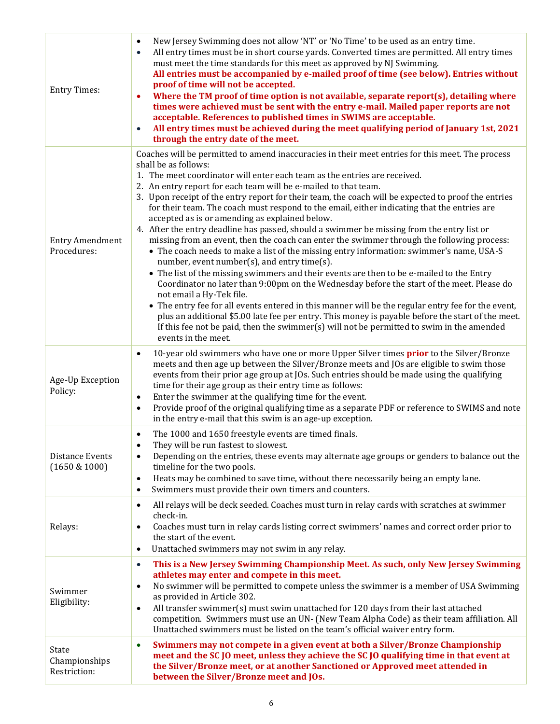| <b>Entry Times:</b>                    | New Jersey Swimming does not allow 'NT' or 'No Time' to be used as an entry time.<br>$\bullet$<br>All entry times must be in short course yards. Converted times are permitted. All entry times<br>$\bullet$<br>must meet the time standards for this meet as approved by NJ Swimming.<br>All entries must be accompanied by e-mailed proof of time (see below). Entries without<br>proof of time will not be accepted.<br>Where the TM proof of time option is not available, separate report(s), detailing where<br>$\bullet$<br>times were achieved must be sent with the entry e-mail. Mailed paper reports are not<br>acceptable. References to published times in SWIMS are acceptable.<br>All entry times must be achieved during the meet qualifying period of January 1st, 2021<br>$\bullet$<br>through the entry date of the meet.                                                                                                                                                                                                                                                                                                                                                                                                                                                                                                                                                                                |
|----------------------------------------|-----------------------------------------------------------------------------------------------------------------------------------------------------------------------------------------------------------------------------------------------------------------------------------------------------------------------------------------------------------------------------------------------------------------------------------------------------------------------------------------------------------------------------------------------------------------------------------------------------------------------------------------------------------------------------------------------------------------------------------------------------------------------------------------------------------------------------------------------------------------------------------------------------------------------------------------------------------------------------------------------------------------------------------------------------------------------------------------------------------------------------------------------------------------------------------------------------------------------------------------------------------------------------------------------------------------------------------------------------------------------------------------------------------------------------|
| <b>Entry Amendment</b><br>Procedures:  | Coaches will be permitted to amend inaccuracies in their meet entries for this meet. The process<br>shall be as follows:<br>1. The meet coordinator will enter each team as the entries are received.<br>2. An entry report for each team will be e-mailed to that team.<br>3. Upon receipt of the entry report for their team, the coach will be expected to proof the entries<br>for their team. The coach must respond to the email, either indicating that the entries are<br>accepted as is or amending as explained below.<br>4. After the entry deadline has passed, should a swimmer be missing from the entry list or<br>missing from an event, then the coach can enter the swimmer through the following process:<br>• The coach needs to make a list of the missing entry information: swimmer's name, USA-S<br>number, event number(s), and entry time(s).<br>• The list of the missing swimmers and their events are then to be e-mailed to the Entry<br>Coordinator no later than 9:00pm on the Wednesday before the start of the meet. Please do<br>not email a Hy-Tek file.<br>• The entry fee for all events entered in this manner will be the regular entry fee for the event,<br>plus an additional \$5.00 late fee per entry. This money is payable before the start of the meet.<br>If this fee not be paid, then the swimmer(s) will not be permitted to swim in the amended<br>events in the meet. |
| Age-Up Exception<br>Policy:            | 10-year old swimmers who have one or more Upper Silver times <b>prior</b> to the Silver/Bronze<br>$\bullet$<br>meets and then age up between the Silver/Bronze meets and JOs are eligible to swim those<br>events from their prior age group at JOs. Such entries should be made using the qualifying<br>time for their age group as their entry time as follows:<br>Enter the swimmer at the qualifying time for the event.<br>$\bullet$<br>Provide proof of the original qualifying time as a separate PDF or reference to SWIMS and note<br>$\bullet$<br>in the entry e-mail that this swim is an age-up exception.                                                                                                                                                                                                                                                                                                                                                                                                                                                                                                                                                                                                                                                                                                                                                                                                      |
| Distance Events<br>(1650 & 1000)       | The 1000 and 1650 freestyle events are timed finals.<br>$\bullet$<br>They will be run fastest to slowest.<br>Depending on the entries, these events may alternate age groups or genders to balance out the<br>$\bullet$<br>timeline for the two pools.<br>Heats may be combined to save time, without there necessarily being an empty lane.<br>$\bullet$<br>Swimmers must provide their own timers and counters.<br>$\bullet$                                                                                                                                                                                                                                                                                                                                                                                                                                                                                                                                                                                                                                                                                                                                                                                                                                                                                                                                                                                              |
| Relays:                                | All relays will be deck seeded. Coaches must turn in relay cards with scratches at swimmer<br>$\bullet$<br>check-in.<br>Coaches must turn in relay cards listing correct swimmers' names and correct order prior to<br>$\bullet$<br>the start of the event.<br>Unattached swimmers may not swim in any relay.<br>$\bullet$                                                                                                                                                                                                                                                                                                                                                                                                                                                                                                                                                                                                                                                                                                                                                                                                                                                                                                                                                                                                                                                                                                  |
| Swimmer<br>Eligibility:                | This is a New Jersey Swimming Championship Meet. As such, only New Jersey Swimming<br>$\bullet$<br>athletes may enter and compete in this meet.<br>No swimmer will be permitted to compete unless the swimmer is a member of USA Swimming<br>$\bullet$<br>as provided in Article 302.<br>All transfer swimmer(s) must swim unattached for 120 days from their last attached<br>$\bullet$<br>competition. Swimmers must use an UN- (New Team Alpha Code) as their team affiliation. All<br>Unattached swimmers must be listed on the team's official waiver entry form.                                                                                                                                                                                                                                                                                                                                                                                                                                                                                                                                                                                                                                                                                                                                                                                                                                                      |
| State<br>Championships<br>Restriction: | Swimmers may not compete in a given event at both a Silver/Bronze Championship<br>$\bullet$<br>meet and the SC JO meet, unless they achieve the SC JO qualifying time in that event at<br>the Silver/Bronze meet, or at another Sanctioned or Approved meet attended in<br>between the Silver/Bronze meet and JOs.                                                                                                                                                                                                                                                                                                                                                                                                                                                                                                                                                                                                                                                                                                                                                                                                                                                                                                                                                                                                                                                                                                          |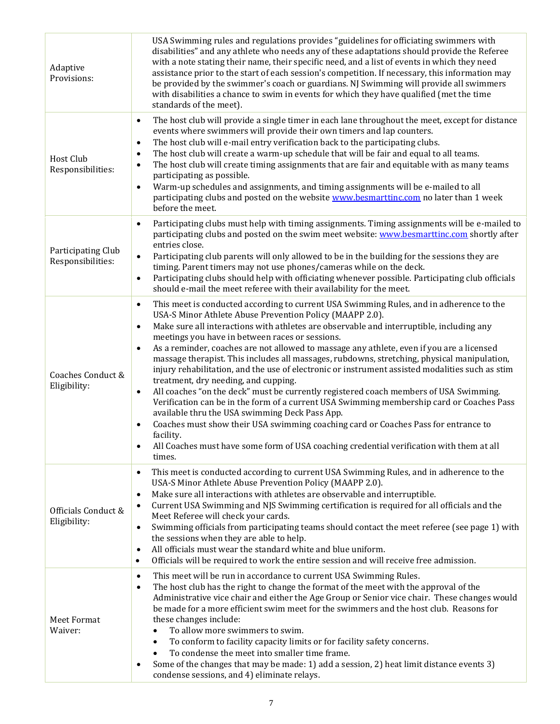| Adaptive<br>Provisions:                 | USA Swimming rules and regulations provides "guidelines for officiating swimmers with<br>disabilities" and any athlete who needs any of these adaptations should provide the Referee<br>with a note stating their name, their specific need, and a list of events in which they need<br>assistance prior to the start of each session's competition. If necessary, this information may<br>be provided by the swimmer's coach or guardians. NJ Swimming will provide all swimmers<br>with disabilities a chance to swim in events for which they have qualified (met the time<br>standards of the meet).                                                                                                                                                                                                                                                                                                                                                                                                                                                                                                                                                                 |
|-----------------------------------------|--------------------------------------------------------------------------------------------------------------------------------------------------------------------------------------------------------------------------------------------------------------------------------------------------------------------------------------------------------------------------------------------------------------------------------------------------------------------------------------------------------------------------------------------------------------------------------------------------------------------------------------------------------------------------------------------------------------------------------------------------------------------------------------------------------------------------------------------------------------------------------------------------------------------------------------------------------------------------------------------------------------------------------------------------------------------------------------------------------------------------------------------------------------------------|
| Host Club<br>Responsibilities:          | The host club will provide a single timer in each lane throughout the meet, except for distance<br>$\bullet$<br>events where swimmers will provide their own timers and lap counters.<br>The host club will e-mail entry verification back to the participating clubs.<br>٠<br>The host club will create a warm-up schedule that will be fair and equal to all teams.<br>$\bullet$<br>The host club will create timing assignments that are fair and equitable with as many teams<br>$\bullet$<br>participating as possible.<br>Warm-up schedules and assignments, and timing assignments will be e-mailed to all<br>$\bullet$<br>participating clubs and posted on the website www.besmarttinc.com no later than 1 week<br>before the meet.                                                                                                                                                                                                                                                                                                                                                                                                                             |
| Participating Club<br>Responsibilities: | Participating clubs must help with timing assignments. Timing assignments will be e-mailed to<br>$\bullet$<br>participating clubs and posted on the swim meet website: www.besmarttinc.com shortly after<br>entries close.<br>Participating club parents will only allowed to be in the building for the sessions they are<br>$\bullet$<br>timing. Parent timers may not use phones/cameras while on the deck.<br>Participating clubs should help with officiating whenever possible. Participating club officials<br>$\bullet$<br>should e-mail the meet referee with their availability for the meet.                                                                                                                                                                                                                                                                                                                                                                                                                                                                                                                                                                  |
| Coaches Conduct &<br>Eligibility:       | This meet is conducted according to current USA Swimming Rules, and in adherence to the<br>$\bullet$<br>USA-S Minor Athlete Abuse Prevention Policy (MAAPP 2.0).<br>Make sure all interactions with athletes are observable and interruptible, including any<br>$\bullet$<br>meetings you have in between races or sessions.<br>As a reminder, coaches are not allowed to massage any athlete, even if you are a licensed<br>$\bullet$<br>massage therapist. This includes all massages, rubdowns, stretching, physical manipulation,<br>injury rehabilitation, and the use of electronic or instrument assisted modalities such as stim<br>treatment, dry needing, and cupping.<br>All coaches "on the deck" must be currently registered coach members of USA Swimming.<br>$\bullet$<br>Verification can be in the form of a current USA Swimming membership card or Coaches Pass<br>available thru the USA swimming Deck Pass App.<br>Coaches must show their USA swimming coaching card or Coaches Pass for entrance to<br>$\bullet$<br>facility.<br>All Coaches must have some form of USA coaching credential verification with them at all<br>$\bullet$<br>times. |
| Officials Conduct &<br>Eligibility:     | This meet is conducted according to current USA Swimming Rules, and in adherence to the<br>$\bullet$<br>USA-S Minor Athlete Abuse Prevention Policy (MAAPP 2.0).<br>Make sure all interactions with athletes are observable and interruptible.<br>$\bullet$<br>Current USA Swimming and NJS Swimming certification is required for all officials and the<br>$\bullet$<br>Meet Referee will check your cards.<br>Swimming officials from participating teams should contact the meet referee (see page 1) with<br>$\bullet$<br>the sessions when they are able to help.<br>All officials must wear the standard white and blue uniform.<br>$\bullet$<br>Officials will be required to work the entire session and will receive free admission.<br>$\bullet$                                                                                                                                                                                                                                                                                                                                                                                                               |
| Meet Format<br>Waiver:                  | This meet will be run in accordance to current USA Swimming Rules.<br>$\bullet$<br>The host club has the right to change the format of the meet with the approval of the<br>$\bullet$<br>Administrative vice chair and either the Age Group or Senior vice chair. These changes would<br>be made for a more efficient swim meet for the swimmers and the host club. Reasons for<br>these changes include:<br>To allow more swimmers to swim.<br>$\bullet$<br>To conform to facility capacity limits or for facility safety concerns.<br>$\bullet$<br>To condense the meet into smaller time frame.<br>$\bullet$<br>Some of the changes that may be made: 1) add a session, 2) heat limit distance events 3)<br>$\bullet$<br>condense sessions, and 4) eliminate relays.                                                                                                                                                                                                                                                                                                                                                                                                  |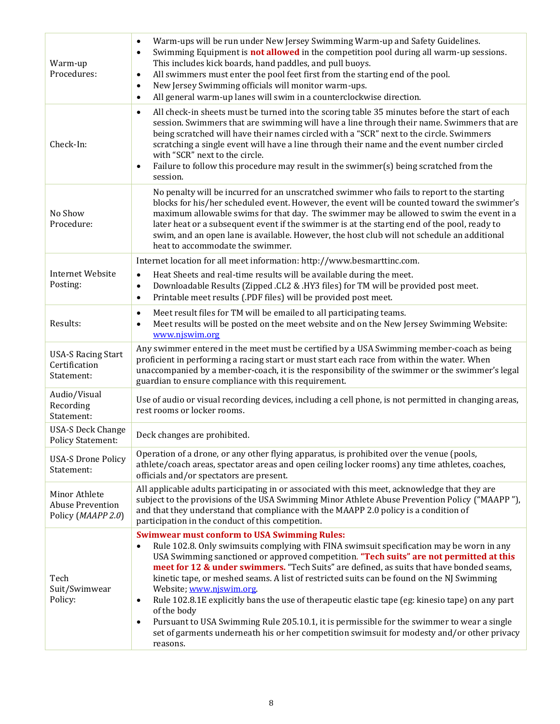| Warm-up<br>Procedures:                                         | Warm-ups will be run under New Jersey Swimming Warm-up and Safety Guidelines.<br>$\bullet$<br>Swimming Equipment is <b>not allowed</b> in the competition pool during all warm-up sessions.<br>$\bullet$<br>This includes kick boards, hand paddles, and pull buoys.<br>All swimmers must enter the pool feet first from the starting end of the pool.<br>$\bullet$<br>New Jersey Swimming officials will monitor warm-ups.<br>$\bullet$<br>All general warm-up lanes will swim in a counterclockwise direction.<br>$\bullet$                                                                                                                                                                                                                                                                                                      |
|----------------------------------------------------------------|------------------------------------------------------------------------------------------------------------------------------------------------------------------------------------------------------------------------------------------------------------------------------------------------------------------------------------------------------------------------------------------------------------------------------------------------------------------------------------------------------------------------------------------------------------------------------------------------------------------------------------------------------------------------------------------------------------------------------------------------------------------------------------------------------------------------------------|
| Check-In:                                                      | All check-in sheets must be turned into the scoring table 35 minutes before the start of each<br>$\bullet$<br>session. Swimmers that are swimming will have a line through their name. Swimmers that are<br>being scratched will have their names circled with a "SCR" next to the circle. Swimmers<br>scratching a single event will have a line through their name and the event number circled<br>with "SCR" next to the circle.<br>Failure to follow this procedure may result in the swimmer(s) being scratched from the<br>$\bullet$<br>session.                                                                                                                                                                                                                                                                             |
| No Show<br>Procedure:                                          | No penalty will be incurred for an unscratched swimmer who fails to report to the starting<br>blocks for his/her scheduled event. However, the event will be counted toward the swimmer's<br>maximum allowable swims for that day. The swimmer may be allowed to swim the event in a<br>later heat or a subsequent event if the swimmer is at the starting end of the pool, ready to<br>swim, and an open lane is available. However, the host club will not schedule an additional<br>heat to accommodate the swimmer.                                                                                                                                                                                                                                                                                                            |
| <b>Internet Website</b><br>Posting:                            | Internet location for all meet information: http://www.besmarttinc.com.                                                                                                                                                                                                                                                                                                                                                                                                                                                                                                                                                                                                                                                                                                                                                            |
|                                                                | Heat Sheets and real-time results will be available during the meet.<br>$\bullet$<br>Downloadable Results (Zipped .CL2 & .HY3 files) for TM will be provided post meet.<br>$\bullet$<br>Printable meet results (.PDF files) will be provided post meet.<br>$\bullet$                                                                                                                                                                                                                                                                                                                                                                                                                                                                                                                                                               |
| Results:                                                       | Meet result files for TM will be emailed to all participating teams.<br>$\bullet$<br>Meet results will be posted on the meet website and on the New Jersey Swimming Website:<br>$\bullet$<br>www.njswim.org                                                                                                                                                                                                                                                                                                                                                                                                                                                                                                                                                                                                                        |
| <b>USA-S Racing Start</b><br>Certification<br>Statement:       | Any swimmer entered in the meet must be certified by a USA Swimming member-coach as being<br>proficient in performing a racing start or must start each race from within the water. When<br>unaccompanied by a member-coach, it is the responsibility of the swimmer or the swimmer's legal<br>guardian to ensure compliance with this requirement.                                                                                                                                                                                                                                                                                                                                                                                                                                                                                |
| Audio/Visual<br>Recording<br>Statement:                        | Use of audio or visual recording devices, including a cell phone, is not permitted in changing areas,<br>rest rooms or locker rooms.                                                                                                                                                                                                                                                                                                                                                                                                                                                                                                                                                                                                                                                                                               |
| <b>USA-S Deck Change</b><br><b>Policy Statement:</b>           | Deck changes are prohibited.                                                                                                                                                                                                                                                                                                                                                                                                                                                                                                                                                                                                                                                                                                                                                                                                       |
| <b>USA-S Drone Policy</b><br>Statement:                        | Operation of a drone, or any other flying apparatus, is prohibited over the venue (pools,<br>athlete/coach areas, spectator areas and open ceiling locker rooms) any time athletes, coaches,<br>officials and/or spectators are present.                                                                                                                                                                                                                                                                                                                                                                                                                                                                                                                                                                                           |
| Minor Athlete<br><b>Abuse Prevention</b><br>Policy (MAAPP 2.0) | All applicable adults participating in or associated with this meet, acknowledge that they are<br>subject to the provisions of the USA Swimming Minor Athlete Abuse Prevention Policy ("MAAPP"),<br>and that they understand that compliance with the MAAPP 2.0 policy is a condition of<br>participation in the conduct of this competition.                                                                                                                                                                                                                                                                                                                                                                                                                                                                                      |
| Tech<br>Suit/Swimwear<br>Policy:                               | <b>Swimwear must conform to USA Swimming Rules:</b><br>Rule 102.8. Only swimsuits complying with FINA swimsuit specification may be worn in any<br>$\bullet$<br>USA Swimming sanctioned or approved competition. "Tech suits" are not permitted at this<br>meet for 12 & under swimmers. "Tech Suits" are defined, as suits that have bonded seams,<br>kinetic tape, or meshed seams. A list of restricted suits can be found on the NJ Swimming<br>Website; www.njswim.org.<br>Rule 102.8.1E explicitly bans the use of therapeutic elastic tape (eg: kinesio tape) on any part<br>$\bullet$<br>of the body<br>Pursuant to USA Swimming Rule 205.10.1, it is permissible for the swimmer to wear a single<br>$\bullet$<br>set of garments underneath his or her competition swimsuit for modesty and/or other privacy<br>reasons. |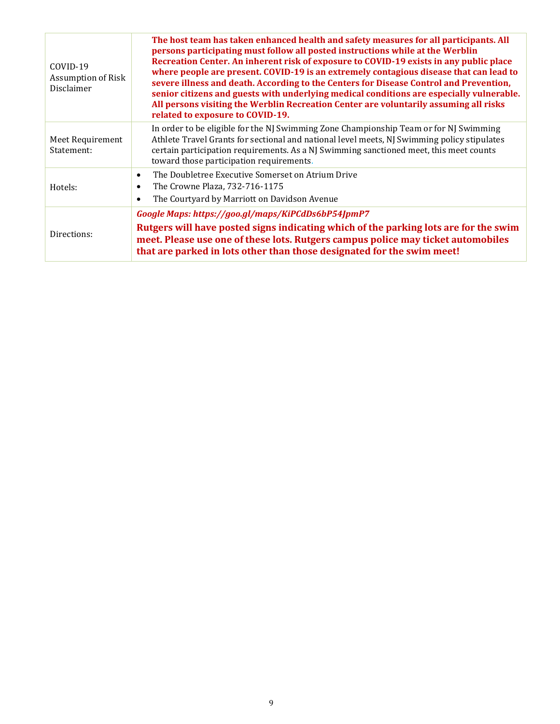| $COVID-19$<br>Assumption of Risk<br>Disclaimer | The host team has taken enhanced health and safety measures for all participants. All<br>persons participating must follow all posted instructions while at the Werblin<br>Recreation Center. An inherent risk of exposure to COVID-19 exists in any public place<br>where people are present. COVID-19 is an extremely contagious disease that can lead to<br>severe illness and death. According to the Centers for Disease Control and Prevention,<br>senior citizens and guests with underlying medical conditions are especially vulnerable.<br>All persons visiting the Werblin Recreation Center are voluntarily assuming all risks<br>related to exposure to COVID-19. |
|------------------------------------------------|--------------------------------------------------------------------------------------------------------------------------------------------------------------------------------------------------------------------------------------------------------------------------------------------------------------------------------------------------------------------------------------------------------------------------------------------------------------------------------------------------------------------------------------------------------------------------------------------------------------------------------------------------------------------------------|
| Meet Requirement<br>Statement:                 | In order to be eligible for the NJ Swimming Zone Championship Team or for NJ Swimming<br>Athlete Travel Grants for sectional and national level meets, NJ Swimming policy stipulates<br>certain participation requirements. As a NJ Swimming sanctioned meet, this meet counts<br>toward those participation requirements.                                                                                                                                                                                                                                                                                                                                                     |
| Hotels:                                        | The Doubletree Executive Somerset on Atrium Drive<br>$\bullet$<br>The Crowne Plaza, 732-716-1175<br>$\bullet$<br>The Courtyard by Marriott on Davidson Avenue<br>$\bullet$                                                                                                                                                                                                                                                                                                                                                                                                                                                                                                     |
| Directions:                                    | Google Maps: https://goo.gl/maps/KiPCdDs6bP54JpmP7<br>Rutgers will have posted signs indicating which of the parking lots are for the swim<br>meet. Please use one of these lots. Rutgers campus police may ticket automobiles<br>that are parked in lots other than those designated for the swim meet!                                                                                                                                                                                                                                                                                                                                                                       |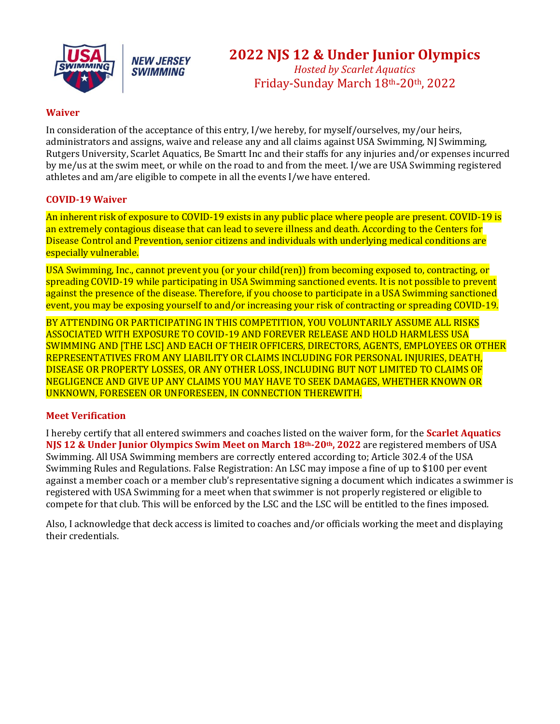



## **2022 NJS 12 & Under Junior Olympics**

*Hosted by Scarlet Aquatics* Friday-Sunday March 18th-20th, 2022

#### **Waiver**

In consideration of the acceptance of this entry, I/we hereby, for myself/ourselves, my/our heirs, administrators and assigns, waive and release any and all claims against USA Swimming, NJ Swimming, Rutgers University, Scarlet Aquatics, Be Smartt Inc and their staffs for any injuries and/or expenses incurred by me/us at the swim meet, or while on the road to and from the meet. I/we are USA Swimming registered athletes and am/are eligible to compete in all the events I/we have entered.

#### **COVID-19 Waiver**

An inherent risk of exposure to COVID-19 exists in any public place where people are present. COVID-19 is an extremely contagious disease that can lead to severe illness and death. According to the Centers for Disease Control and Prevention, senior citizens and individuals with underlying medical conditions are especially vulnerable.

USA Swimming, Inc., cannot prevent you (or your child(ren)) from becoming exposed to, contracting, or spreading COVID-19 while participating in USA Swimming sanctioned events. It is not possible to prevent against the presence of the disease. Therefore, if you choose to participate in a USA Swimming sanctioned event, you may be exposing yourself to and/or increasing your risk of contracting or spreading COVID-19.

BY ATTENDING OR PARTICIPATING IN THIS COMPETITION, YOU VOLUNTARILY ASSUME ALL RISKS ASSOCIATED WITH EXPOSURE TO COVID-19 AND FOREVER RELEASE AND HOLD HARMLESS USA SWIMMING AND [THE LSC] AND EACH OF THEIR OFFICERS, DIRECTORS, AGENTS, EMPLOYEES OR OTHER REPRESENTATIVES FROM ANY LIABILITY OR CLAIMS INCLUDING FOR PERSONAL INJURIES, DEATH, DISEASE OR PROPERTY LOSSES, OR ANY OTHER LOSS, INCLUDING BUT NOT LIMITED TO CLAIMS OF NEGLIGENCE AND GIVE UP ANY CLAIMS YOU MAY HAVE TO SEEK DAMAGES, WHETHER KNOWN OR UNKNOWN, FORESEEN OR UNFORESEEN, IN CONNECTION THEREWITH.

#### **Meet Verification**

I hereby certify that all entered swimmers and coaches listed on the waiver form, for the **Scarlet Aquatics NJS 12 & Under Junior Olympics Swim Meet on March 18th-20th, 2022** are registered members of USA Swimming. All USA Swimming members are correctly entered according to; Article 302.4 of the USA Swimming Rules and Regulations. False Registration: An LSC may impose a fine of up to \$100 per event against a member coach or a member club's representative signing a document which indicates a swimmer is registered with USA Swimming for a meet when that swimmer is not properly registered or eligible to compete for that club. This will be enforced by the LSC and the LSC will be entitled to the fines imposed.

Also, I acknowledge that deck access is limited to coaches and/or officials working the meet and displaying their credentials.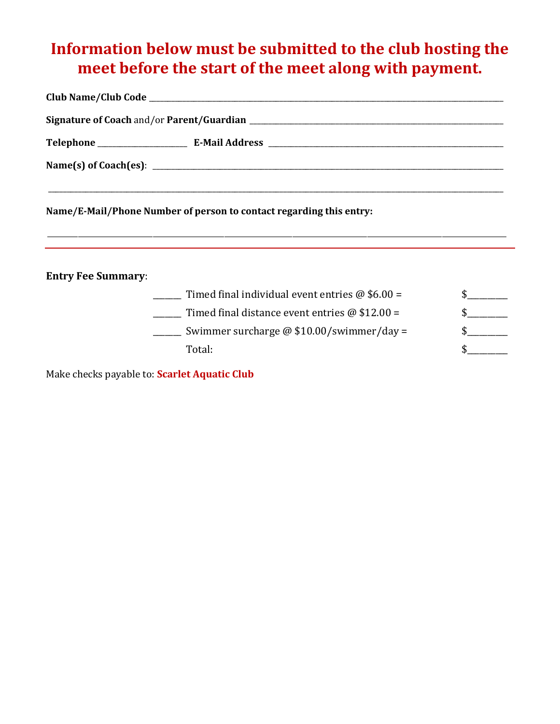## **Information below must be submitted to the club hosting the meet before the start of the meet along with payment.**

| Name/E-Mail/Phone Number of person to contact regarding this entry: |  |
|---------------------------------------------------------------------|--|

\_\_\_\_\_\_\_\_\_\_\_\_\_\_\_\_\_\_\_\_\_\_\_\_\_\_\_\_\_\_\_\_\_\_\_\_\_\_\_\_\_\_\_\_\_\_\_\_\_\_\_\_\_\_\_\_\_\_\_\_\_\_\_\_\_\_\_\_\_\_\_\_\_\_\_\_\_\_\_\_\_\_\_\_\_\_\_\_\_\_\_\_\_\_\_\_\_\_\_\_\_\_\_\_\_\_\_\_\_\_\_\_\_\_\_\_\_\_\_\_\_\_\_\_\_\_\_\_\_\_\_\_\_\_\_

**Entry Fee Summary**:

| Timed final individual event entries $\omega$ \$6.00 = |  |
|--------------------------------------------------------|--|
| Timed final distance event entries $\omega$ \$12.00 =  |  |
| Swimmer surcharge $\omega$ \$10.00/swimmer/day =       |  |
| Total:                                                 |  |

Make checks payable to: **Scarlet Aquatic Club**